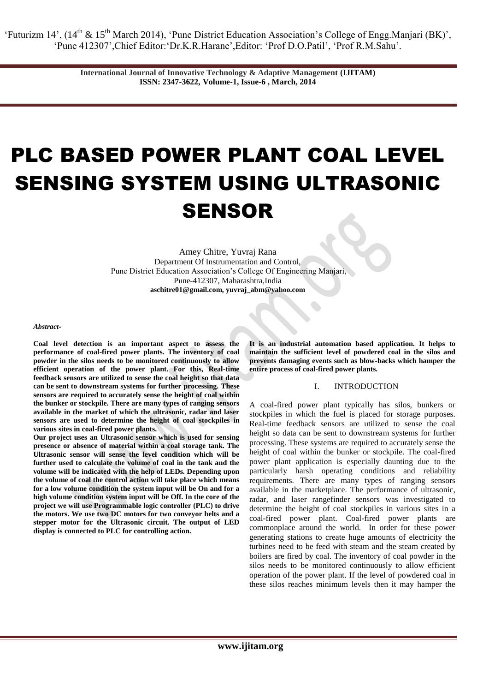'Futurizm 14', (14<sup>th</sup> & 15<sup>th</sup> March 2014), 'Pune District Education Association's College of Engg.Manjari (BK)', 'Pune 412307',Chief Editor:'Dr.K.R.Harane',Editor: 'Prof D.O.Patil', 'Prof R.M.Sahu'.

> **International Journal of Innovative Technology & Adaptive Management (IJITAM) ISSN: 2347-3622, Volume-1, Issue-6 , March, 2014**

# PLC BASED POWER PLANT COAL LEVEL SENSING SYSTEM USING ULTRASONIC SENSOR

Amey Chitre, Yuvraj Rana Department Of Instrumentation and Control, Pune District Education Association's College Of Engineering Manjari, Pune-412307, Maharashtra,India **[aschitre01@gmail.com,](mailto:aschitre01@gmail.com) [yuvraj\\_abm@yahoo.com](mailto:yuvraj_abm@yahoo.com)**

*Abstract-*

**Coal level detection is an important aspect to assess the performance of coal-fired power plants. The inventory of coal powder in the silos needs to be monitored continuously to allow efficient operation of the power plant. For this, Real-time feedback sensors are utilized to sense the coal height so that data can be sent to downstream systems for further processing. These sensors are required to accurately sense the height of coal within the bunker or stockpile. There are many types of ranging sensors available in the market of which the ultrasonic, radar and laser sensors are used to determine the height of coal stockpiles in various sites in coal-fired power plants.** 

**Our project uses an Ultrasonic sensor which is used for sensing presence or absence of material within a coal storage tank. The Ultrasonic sensor will sense the level condition which will be further used to calculate the volume of coal in the tank and the volume will be indicated with the help of LEDs. Depending upon the volume of coal the control action will take place which means for a low volume condition the system input will be On and for a high volume condition system input will be Off. In the core of the project we will use Programmable logic controller (PLC) to drive the motors. We use two DC motors for two conveyor belts and a stepper motor for the Ultrasonic circuit. The output of LED display is connected to PLC for controlling action.**

**It is an industrial automation based application. It helps to maintain the sufficient level of powdered coal in the silos and prevents damaging events such as blow-backs which hamper the entire process of coal-fired power plants.**

#### I. INTRODUCTION

A coal-fired power plant typically has silos, bunkers or stockpiles in which the fuel is placed for storage purposes. Real-time feedback sensors are utilized to sense the coal height so data can be sent to downstream systems for further processing. These systems are required to accurately sense the height of coal within the bunker or stockpile. The coal-fired power plant application is especially daunting due to the particularly harsh operating conditions and reliability requirements. There are many types of ranging sensors available in the marketplace. The performance of ultrasonic, radar, and laser rangefinder sensors was investigated to determine the height of coal stockpiles in various sites in a coal-fired power plant. Coal-fired power plants are commonplace around the world. In order for these power generating stations to create huge amounts of electricity the turbines need to be feed with steam and the steam created by boilers are fired by coal. The inventory of coal powder in the silos needs to be monitored continuously to allow efficient operation of the power plant. If the level of powdered coal in these silos reaches minimum levels then it may hamper the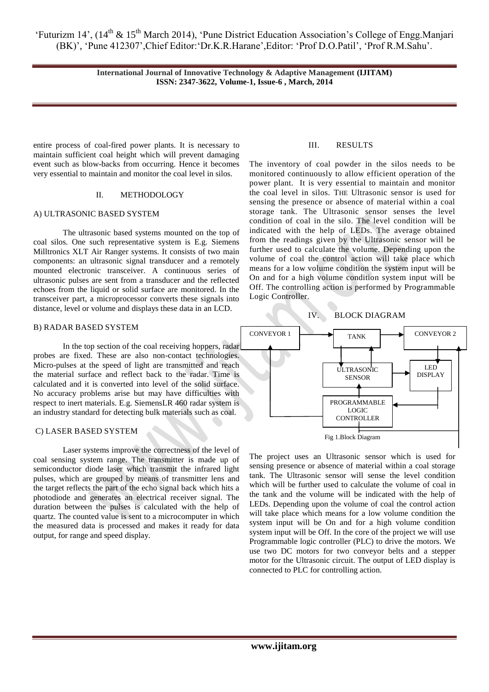'Futurizm 14', (14<sup>th</sup> & 15<sup>th</sup> March 2014), 'Pune District Education Association's College of Engg.Manjari (BK)', 'Pune 412307',Chief Editor:'Dr.K.R.Harane',Editor: 'Prof D.O.Patil', 'Prof R.M.Sahu'.

> **International Journal of Innovative Technology & Adaptive Management (IJITAM) ISSN: 2347-3622, Volume-1, Issue-6 , March, 2014**

entire process of coal-fired power plants. It is necessary to maintain sufficient coal height which will prevent damaging event such as blow-backs from occurring. Hence it becomes very essential to maintain and monitor the coal level in silos.

### II. METHODOLOGY

#### A) ULTRASONIC BASED SYSTEM

The ultrasonic based systems mounted on the top of coal silos. One such representative system is E.g. Siemens Milltronics XLT Air Ranger systems. It consists of two main components: an ultrasonic signal transducer and a remotely mounted electronic transceiver. A continuous series of ultrasonic pulses are sent from a transducer and the reflected echoes from the liquid or solid surface are monitored. In the transceiver part, a microprocessor converts these signals into distance, level or volume and displays these data in an LCD.

## B) RADAR BASED SYSTEM

In the top section of the coal receiving hoppers, radar probes are fixed. These are also non-contact technologies. Micro-pulses at the speed of light are transmitted and reach the material surface and reflect back to the radar. Time is calculated and it is converted into level of the solid surface. No accuracy problems arise but may have difficulties with respect to inert materials. E.g. SiemensLR 460 radar system is an industry standard for detecting bulk materials such as coal.

#### C) LASER BASED SYSTEM

 Laser systems improve the correctness of the level of coal sensing system range. The transmitter is made up of semiconductor diode laser which transmit the infrared light pulses, which are grouped by means of transmitter lens and the target reflects the part of the echo signal back which hits a photodiode and generates an electrical receiver signal. The duration between the pulses is calculated with the help of quartz. The counted value is sent to a microcomputer in which the measured data is processed and makes it ready for data output, for range and speed display.

#### III. RESULTS

The inventory of coal powder in the silos needs to be monitored continuously to allow efficient operation of the power plant. It is very essential to maintain and monitor the coal level in silos. THE Ultrasonic sensor is used for sensing the presence or absence of material within a coal storage tank. The Ultrasonic sensor senses the level condition of coal in the silo. The level condition will be indicated with the help of LEDs. The average obtained from the readings given by the Ultrasonic sensor will be further used to calculate the volume. Depending upon the volume of coal the control action will take place which means for a low volume condition the system input will be On and for a high volume condition system input will be Off. The controlling action is performed by Programmable Logic Controller.





The project uses an Ultrasonic sensor which is used for sensing presence or absence of material within a coal storage tank. The Ultrasonic sensor will sense the level condition which will be further used to calculate the volume of coal in the tank and the volume will be indicated with the help of LEDs. Depending upon the volume of coal the control action will take place which means for a low volume condition the system input will be On and for a high volume condition system input will be Off. In the core of the project we will use Programmable logic controller (PLC) to drive the motors. We use two DC motors for two conveyor belts and a stepper motor for the Ultrasonic circuit. The output of LED display is connected to PLC for controlling action.